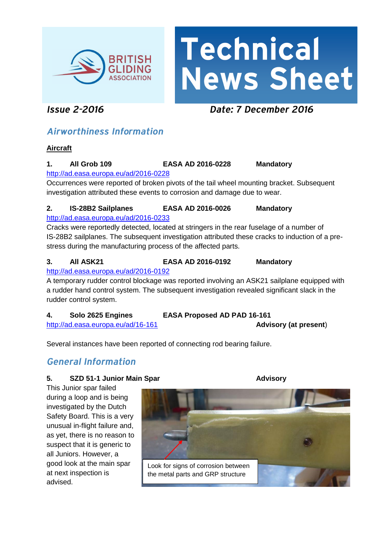

# Technical **News Sheet**

### **Issue 2-2016**

Date: 7 December 2016

### **Airworthiness Information**

#### **Aircraft**

#### **1. All Grob 109 EASA AD 2016-0228 Mandatory**

<http://ad.easa.europa.eu/ad/2016-0228>

Occurrences were reported of broken pivots of the tail wheel mounting bracket. Subsequent investigation attributed these events to corrosion and damage due to wear.

#### **2. IS-28B2 Sailplanes EASA AD 2016-0026 Mandatory**

#### <http://ad.easa.europa.eu/ad/2016-0233>

Cracks were reportedly detected, located at stringers in the rear fuselage of a number of IS-28B2 sailplanes. The subsequent investigation attributed these cracks to induction of a prestress during the manufacturing process of the affected parts.

#### **3. All ASK21 EASA AD 2016-0192 Mandatory**

#### <http://ad.easa.europa.eu/ad/2016-0192>

A temporary rudder control blockage was reported involving an ASK21 sailplane equipped with a rudder hand control system. The subsequent investigation revealed significant slack in the rudder control system.

#### **4. Solo 2625 Engines EASA Proposed AD PAD 16-161** <http://ad.easa.europa.eu/ad/16-161> **Advisory (at present**)

Several instances have been reported of connecting rod bearing failure.

### **General Information**

#### **5. SZD 51-1 Junior Main Spar Advisory**

This Junior spar failed during a loop and is being investigated by the Dutch Safety Board. This is a very unusual in-flight failure and, as yet, there is no reason to suspect that it is generic to all Juniors. However, a good look at the main spar at next inspection is advised.

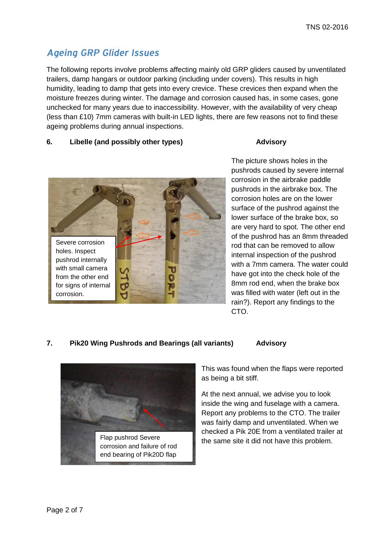### **Ageing GRP Glider Issues**

The following reports involve problems affecting mainly old GRP gliders caused by unventilated trailers, damp hangars or outdoor parking (including under covers). This results in high humidity, leading to damp that gets into every crevice. These crevices then expand when the moisture freezes during winter. The damage and corrosion caused has, in some cases, gone unchecked for many years due to inaccessibility. However, with the availability of very cheap (less than £10) 7mm cameras with built-in LED lights, there are few reasons not to find these ageing problems during annual inspections.

#### **6. Libelle (and possibly other types) Advisory**

## Severe corrosion holes. Inspect pushrod internally with small camera from the other end for signs of internal corrosion.

The picture shows holes in the pushrods caused by severe internal corrosion in the airbrake paddle pushrods in the airbrake box. The corrosion holes are on the lower surface of the pushrod against the lower surface of the brake box, so are very hard to spot. The other end of the pushrod has an 8mm threaded rod that can be removed to allow internal inspection of the pushrod with a 7mm camera. The water could have got into the check hole of the 8mm rod end, when the brake box was filled with water (left out in the rain?). Report any findings to the CTO.

#### **7. Pik20 Wing Pushrods and Bearings (all variants) Advisory**

Flap pushrod Severe corrosion and failure of rod end bearing of Pik20D flap

drive.

This was found when the flaps were reported as being a bit stiff.

At the next annual, we advise you to look inside the wing and fuselage with a camera. Report any problems to the CTO. The trailer was fairly damp and unventilated. When we checked a Pik 20E from a ventilated trailer at the same site it did not have this problem.

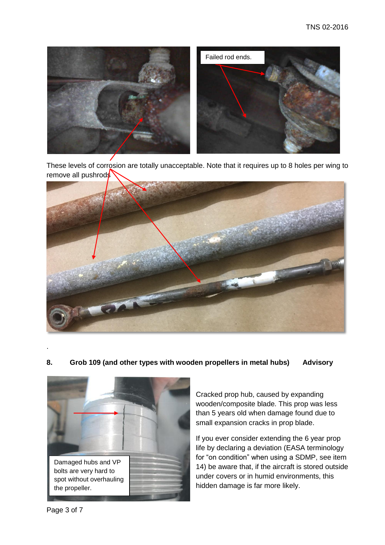

These levels of corrosion are totally unacceptable. Note that it requires up to 8 holes per wing to remove all pushrods



#### **8. Grob 109 (and other types with wooden propellers in metal hubs) Advisory**



Cracked prop hub, caused by expanding wooden/composite blade. This prop was less than 5 years old when damage found due to small expansion cracks in prop blade.

If you ever consider extending the 6 year prop life by declaring a deviation (EASA terminology for "on condition" when using a SDMP, see item 14) be aware that, if the aircraft is stored outside under covers or in humid environments, this hidden damage is far more likely.

.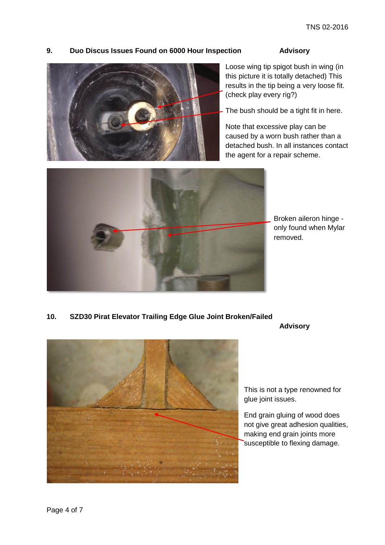#### **9. Duo Discus Issues Found on 6000 Hour Inspection Advisory**



Loose wing tip spigot bush in wing (in this picture it is totally detached) This results in the tip being a very loose fit. (check play every rig?)

The bush should be a tight fit in here.

Note that excessive play can be caused by a worn bush rather than a detached bush. In all instances contact the agent for a repair scheme.



Broken aileron hinge only found when Mylar removed.

#### **10. SZD30 Pirat Elevator Trailing Edge Glue Joint Broken/Failed**

#### **Advisory**



This is not a type renowned for glue joint issues.

End grain gluing of wood does not give great adhesion qualities, making end grain joints more susceptible to flexing damage.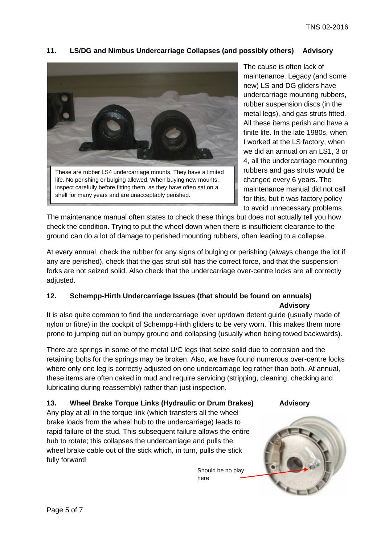#### **11. LS/DG and Nimbus Undercarriage Collapses (and possibly others) Advisory**



The cause is often lack of maintenance. Legacy (and some new) LS and DG gliders have undercarriage mounting rubbers, rubber suspension discs (in the metal legs), and gas struts fitted. All these items perish and have a finite life. In the late 1980s, when I worked at the LS factory, when we did an annual on an LS1, 3 or 4, all the undercarriage mounting rubbers and gas struts would be changed every 6 years. The maintenance manual did not call for this, but it was factory policy to avoid unnecessary problems.

The maintenance manual often states to check these things but does not actually tell you how check the condition. Trying to put the wheel down when there is insufficient clearance to the ground can do a lot of damage to perished mounting rubbers, often leading to a collapse.

At every annual, check the rubber for any signs of bulging or perishing (always change the lot if any are perished), check that the gas strut still has the correct force, and that the suspension forks are not seized solid. Also check that the undercarriage over-centre locks are all correctly adiusted.

#### **12. Schempp-Hirth Undercarriage Issues (that should be found on annuals) Advisory**

It is also quite common to find the undercarriage lever up/down detent guide (usually made of nylon or fibre) in the cockpit of Schempp-Hirth gliders to be very worn. This makes them more prone to jumping out on bumpy ground and collapsing (usually when being towed backwards).

There are springs in some of the metal U/C legs that seize solid due to corrosion and the retaining bolts for the springs may be broken. Also, we have found numerous over-centre locks where only one leg is correctly adjusted on one undercarriage leg rather than both. At annual, these items are often caked in mud and require servicing (stripping, cleaning, checking and lubricating during reassembly) rather than just inspection.

#### **13. Wheel Brake Torque Links (Hydraulic or Drum Brakes) Advisory**

Any play at all in the torque link (which transfers all the wheel brake loads from the wheel hub to the undercarriage) leads to rapid failure of the stud. This subsequent failure allows the entire hub to rotate; this collapses the undercarriage and pulls the wheel brake cable out of the stick which, in turn, pulls the stick fully forward!

> Should be no play here

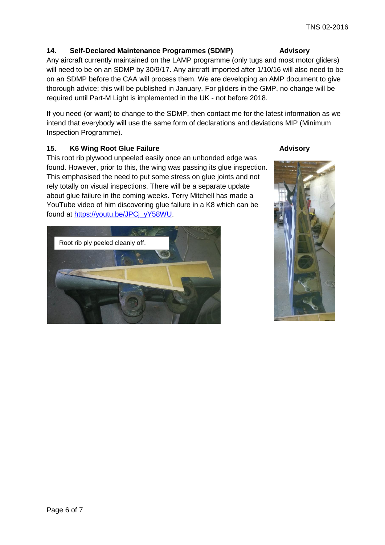Page 6 of 7

#### **14. Self-Declared Maintenance Programmes (SDMP) Advisory**

Any aircraft currently maintained on the LAMP programme (only tugs and most motor gliders) will need to be on an SDMP by 30/9/17. Any aircraft imported after 1/10/16 will also need to be on an SDMP before the CAA will process them. We are developing an AMP document to give thorough advice; this will be published in January. For gliders in the GMP, no change will be required until Part-M Light is implemented in the UK - not before 2018.

If you need (or want) to change to the SDMP, then contact me for the latest information as we intend that everybody will use the same form of declarations and deviations MIP (Minimum Inspection Programme).

#### 15. K6 Wing Root Glue Failure **Advisory Advisory**

This root rib plywood unpeeled easily once an unbonded edge was found. However, prior to this, the wing was passing its glue inspection. This emphasised the need to put some stress on glue joints and not rely totally on visual inspections. There will be a separate update about glue failure in the coming weeks. Terry Mitchell has made a YouTube video of him discovering glue failure in a K8 which can be found at [https://youtu.be/JPCj\\_yY58WU.](https://youtu.be/JPCj_yY58WU)